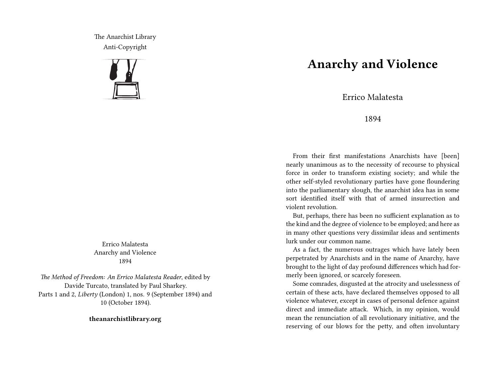The Anarchist Library Anti-Copyright



Errico Malatesta Anarchy and Violence 1894

*The Method of Freedom: An Errico Malatesta Reader*, edited by Davide Turcato, translated by Paul Sharkey. Parts 1 and 2, *Liberty* (London) 1, nos. 9 (September 1894) and 10 (October 1894).

**theanarchistlibrary.org**

## **Anarchy and Violence**

Errico Malatesta

1894

From their first manifestations Anarchists have [been] nearly unanimous as to the necessity of recourse to physical force in order to transform existing society; and while the other self-styled revolutionary parties have gone floundering into the parliamentary slough, the anarchist idea has in some sort identified itself with that of armed insurrection and violent revolution.

But, perhaps, there has been no sufficient explanation as to the kind and the degree of violence to be employed; and here as in many other questions very dissimilar ideas and sentiments lurk under our common name.

As a fact, the numerous outrages which have lately been perpetrated by Anarchists and in the name of Anarchy, have brought to the light of day profound differences which had formerly been ignored, or scarcely foreseen.

Some comrades, disgusted at the atrocity and uselessness of certain of these acts, have declared themselves opposed to all violence whatever, except in cases of personal defence against direct and immediate attack. Which, in my opinion, would mean the renunciation of all revolutionary initiative, and the reserving of our blows for the petty, and often involuntary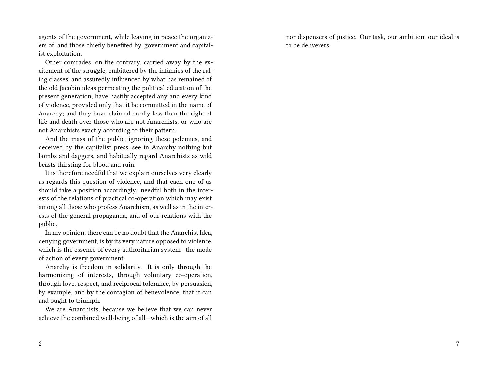agents of the government, while leaving in peace the organizers of, and those chiefly benefited by, government and capitalist exploitation.

Other comrades, on the contrary, carried away by the excitement of the struggle, embittered by the infamies of the ruling classes, and assuredly influenced by what has remained of the old Jacobin ideas permeating the political education of the present generation, have hastily accepted any and every kind of violence, provided only that it be committed in the name of Anarchy; and they have claimed hardly less than the right of life and death over those who are not Anarchists, or who are not Anarchists exactly according to their pattern.

And the mass of the public, ignoring these polemics, and deceived by the capitalist press, see in Anarchy nothing but bombs and daggers, and habitually regard Anarchists as wild beasts thirsting for blood and ruin.

It is therefore needful that we explain ourselves very clearly as regards this question of violence, and that each one of us should take a position accordingly: needful both in the interests of the relations of practical co-operation which may exist among all those who profess Anarchism, as well as in the interests of the general propaganda, and of our relations with the public.

In my opinion, there can be no doubt that the Anarchist Idea, denying government, is by its very nature opposed to violence, which is the essence of every authoritarian system—the mode of action of every government.

Anarchy is freedom in solidarity. It is only through the harmonizing of interests, through voluntary co-operation, through love, respect, and reciprocal tolerance, by persuasion, by example, and by the contagion of benevolence, that it can and ought to triumph.

We are Anarchists, because we believe that we can never achieve the combined well-being of all—which is the aim of all nor dispensers of justice. Our task, our ambition, our ideal is to be deliverers.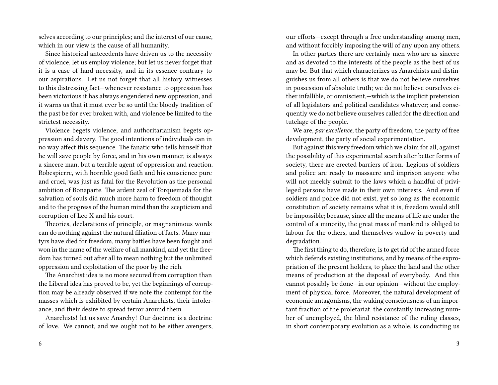selves according to our principles; and the interest of our cause, which in our view is the cause of all humanity.

Since historical antecedents have driven us to the necessity of violence, let us employ violence; but let us never forget that it is a case of hard necessity, and in its essence contrary to our aspirations. Let us not forget that all history witnesses to this distressing fact—whenever resistance to oppression has been victorious it has always engendered new oppression, and it warns us that it must ever be so until the bloody tradition of the past be for ever broken with, and violence be limited to the strictest necessity.

Violence begets violence; and authoritarianism begets oppression and slavery. The good intentions of individuals can in no way affect this sequence. The fanatic who tells himself that he will save people by force, and in his own manner, is always a sincere man, but a terrible agent of oppression and reaction. Robespierre, with horrible good faith and his conscience pure and cruel, was just as fatal for the Revolution as the personal ambition of Bonaparte. The ardent zeal of Torquemada for the salvation of souls did much more harm to freedom of thought and to the progress of the human mind than the scepticism and corruption of Leo X and his court.

Theories, declarations of principle, or magnanimous words can do nothing against the natural filiation of facts. Many martyrs have died for freedom, many battles have been fought and won in the name of the welfare of all mankind, and yet the freedom has turned out after all to mean nothing but the unlimited oppression and exploitation of the poor by the rich.

The Anarchist idea is no more secured from corruption than the Liberal idea has proved to be, yet the beginnings of corruption may be already observed if we note the contempt for the masses which is exhibited by certain Anarchists, their intolerance, and their desire to spread terror around them.

Anarchists! let us save Anarchy! Our doctrine is a doctrine of love. We cannot, and we ought not to be either avengers, our efforts—except through a free understanding among men, and without forcibly imposing the will of any upon any others.

In other parties there are certainly men who are as sincere and as devoted to the interests of the people as the best of us may be. But that which characterizes us Anarchists and distinguishes us from all others is that we do not believe ourselves in possession of absolute truth; we do not believe ourselves either infallible, or omniscient,—which is the implicit pretension of all legislators and political candidates whatever; and consequently we do not believe ourselves called for the direction and tutelage of the people.

We are, *par excellence*, the party of freedom, the party of free development, the party of social experimentation.

But against this very freedom which we claim for all, against the possibility of this experimental search after better forms of society, there are erected barriers of iron. Legions of soldiers and police are ready to massacre and imprison anyone who will not meekly submit to the laws which a handful of privileged persons have made in their own interests. And even if soldiers and police did not exist, yet so long as the economic constitution of society remains what it is, freedom would still be impossible; because, since all the means of life are under the control of a minority, the great mass of mankind is obliged to labour for the others, and themselves wallow in poverty and degradation.

The first thing to do, therefore, is to get rid of the armed force which defends existing institutions, and by means of the expropriation of the present holders, to place the land and the other means of production at the disposal of everybody. And this cannot possibly be done—in our opinion—without the employment of physical force. Moreover, the natural development of economic antagonisms, the waking consciousness of an important fraction of the proletariat, the constantly increasing number of unemployed, the blind resistance of the ruling classes, in short contemporary evolution as a whole, is conducting us